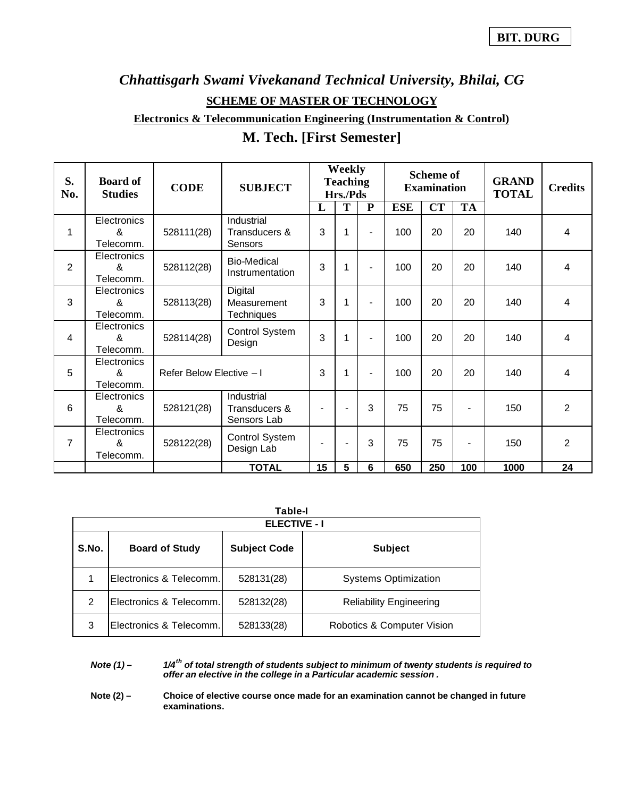# *Chhattisgarh Swami Vivekanand Technical University, Bhilai, CG* **SCHEME OF MASTER OF TECHNOLOGY**

**Electronics & Telecommunication Engineering (Instrumentation & Control)**

| M. Tech. [First Semester] |  |
|---------------------------|--|
|---------------------------|--|

| S.<br>No.      | <b>Board of</b><br><b>Studies</b>                     | <b>CODE</b>              | <b>SUBJECT</b>                              |                | Weekly<br><b>Teaching</b><br>Hrs./Pds |                | <b>Scheme of</b><br><b>Examination</b> |     |           | <b>GRAND</b><br><b>TOTAL</b> | <b>Credits</b> |
|----------------|-------------------------------------------------------|--------------------------|---------------------------------------------|----------------|---------------------------------------|----------------|----------------------------------------|-----|-----------|------------------------------|----------------|
|                |                                                       |                          |                                             | L              | T                                     | $\mathbf{P}$   | <b>ESE</b>                             | CT  | <b>TA</b> |                              |                |
| 1              | Electronics<br>&<br>Telecomm.                         | 528111(28)               | Industrial<br>Transducers &<br>Sensors      | 3              | 1                                     | $\blacksquare$ | 100                                    | 20  | 20        | 140                          | 4              |
| $\overline{2}$ | Electronics<br>&<br>Telecomm.                         | 528112(28)               | <b>Bio-Medical</b><br>Instrumentation       | 3              | 1                                     | $\blacksquare$ | 100                                    | 20  | 20        | 140                          | $\overline{4}$ |
| 3              | Electronics<br>&<br>Telecomm.                         | 528113(28)               | Digital<br>Measurement<br><b>Techniques</b> | 3              | 1                                     | $\blacksquare$ | 100                                    | 20  | 20        | 140                          | 4              |
| 4              | Electronics<br>&<br>Telecomm.                         | 528114(28)               | Control System<br>Design                    | 3              | 1                                     |                | 100                                    | 20  | 20        | 140                          | 4              |
| 5              | Electronics<br>&<br>Telecomm.                         | Refer Below Elective - I |                                             | 3              | 1                                     | $\blacksquare$ | 100                                    | 20  | 20        | 140                          | 4              |
| 6              | Electronics<br>$\boldsymbol{\mathsf{R}}$<br>Telecomm. | 528121(28)               | Industrial<br>Transducers &<br>Sensors Lab  |                |                                       | 3              | 75                                     | 75  |           | 150                          | $\overline{2}$ |
| 7              | Electronics<br>&<br>Telecomm.                         | 528122(28)               | Control System<br>Design Lab                | $\blacksquare$ | $\overline{\phantom{a}}$              | 3              | 75                                     | 75  |           | 150                          | $\overline{2}$ |
|                |                                                       |                          | <b>TOTAL</b>                                | 15             | 5                                     | 6              | 650                                    | 250 | 100       | 1000                         | 24             |

|               | Table-I<br><b>ELECTIVE - I</b> |                     |                                |  |  |  |  |  |  |  |
|---------------|--------------------------------|---------------------|--------------------------------|--|--|--|--|--|--|--|
| S.No.         | <b>Board of Study</b>          | <b>Subject Code</b> | <b>Subject</b>                 |  |  |  |  |  |  |  |
|               | Electronics & Telecomm.        | 528131(28)          | <b>Systems Optimization</b>    |  |  |  |  |  |  |  |
| $\mathcal{P}$ | Electronics & Telecomm.        | 528132(28)          | <b>Reliability Engineering</b> |  |  |  |  |  |  |  |
| 3             | Electronics & Telecomm.        | 528133(28)          | Robotics & Computer Vision     |  |  |  |  |  |  |  |

*Note (1) – 1/4th of total strength of students subject to minimum of twenty students is required to offer an elective in the college in a Particular academic session .*

**Note (2) – Choice of elective course once made for an examination cannot be changed in future examinations.**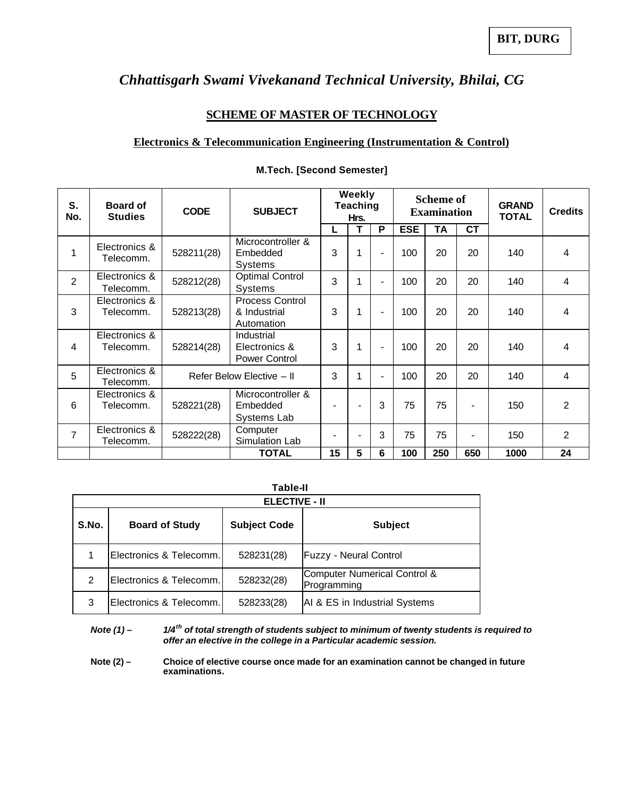### *Chhattisgarh Swami Vivekanand Technical University, Bhilai, CG*

#### **SCHEME OF MASTER OF TECHNOLOGY**

#### **Electronics & Telecommunication Engineering (Instrumentation & Control)**

| S.<br>No.      | <b>Board of</b><br><b>Studies</b> | <b>SUBJECT</b><br><b>CODE</b> |                                                      | Weekly<br><b>Teaching</b><br>Hrs. |                | <b>Scheme of</b><br><b>Examination</b> |            |     | <b>GRAND</b><br><b>TOTAL</b> | <b>Credits</b> |                |
|----------------|-----------------------------------|-------------------------------|------------------------------------------------------|-----------------------------------|----------------|----------------------------------------|------------|-----|------------------------------|----------------|----------------|
|                |                                   |                               |                                                      | L                                 | т              | P                                      | <b>ESE</b> | TA  | <b>CT</b>                    |                |                |
| 1              | Electronics &<br>Telecomm.        | 528211(28)                    | Microcontroller &<br>Embedded<br>Systems             | 3                                 | 1              | $\blacksquare$                         | 100        | 20  | 20                           | 140            | 4              |
| $\overline{2}$ | Electronics &<br>Telecomm.        | 528212(28)                    | <b>Optimal Control</b><br><b>Systems</b>             | 3                                 | 1              | $\blacksquare$                         | 100        | 20  | 20                           | 140            | 4              |
| 3              | Electronics &<br>Telecomm.        | 528213(28)                    | <b>Process Control</b><br>& Industrial<br>Automation | 3                                 | 1              | $\blacksquare$                         | 100        | 20  | 20                           | 140            | 4              |
| 4              | Electronics &<br>Telecomm.        | 528214(28)                    | Industrial<br>Electronics &<br><b>Power Control</b>  | 3                                 | 1              | $\blacksquare$                         | 100        | 20  | 20                           | 140            | 4              |
| 5              | Electronics &<br>Telecomm.        |                               | Refer Below Elective - II                            |                                   | 1              | $\blacksquare$                         | 100        | 20  | 20                           | 140            | 4              |
| 6              | Electronics &<br>Telecomm.        | 528221(28)                    | Microcontroller &<br>Embedded<br>Systems Lab         |                                   | $\blacksquare$ | 3                                      | 75         | 75  | $\blacksquare$               | 150            | $\overline{2}$ |
| 7              | Electronics &<br>Telecomm.        | 528222(28)                    | Computer<br>Simulation Lab                           |                                   | $\blacksquare$ | 3                                      | 75         | 75  | ۰                            | 150            | $\overline{2}$ |
|                |                                   |                               | <b>TOTAL</b>                                         | 15                                | 5              | 6                                      | 100        | 250 | 650                          | 1000           | 24             |

#### **M.Tech. [Second Semester]**

#### **Table-II**

|       | <b>ELECTIVE - II</b>    |                     |                                             |  |  |  |  |  |  |  |
|-------|-------------------------|---------------------|---------------------------------------------|--|--|--|--|--|--|--|
| S.No. | <b>Board of Study</b>   | <b>Subject Code</b> | <b>Subject</b>                              |  |  |  |  |  |  |  |
|       | Electronics & Telecomm. | 528231(28)          | <b>Fuzzy - Neural Control</b>               |  |  |  |  |  |  |  |
| 2     | Electronics & Telecomm. | 528232(28)          | Computer Numerical Control &<br>Programming |  |  |  |  |  |  |  |
| 3     | Electronics & Telecomm. | 528233(28)          | AI & ES in Industrial Systems               |  |  |  |  |  |  |  |

*Note (1) – 1/4th of total strength of students subject to minimum of twenty students is required to offer an elective in the college in a Particular academic session.*

**Note (2) – Choice of elective course once made for an examination cannot be changed in future examinations.**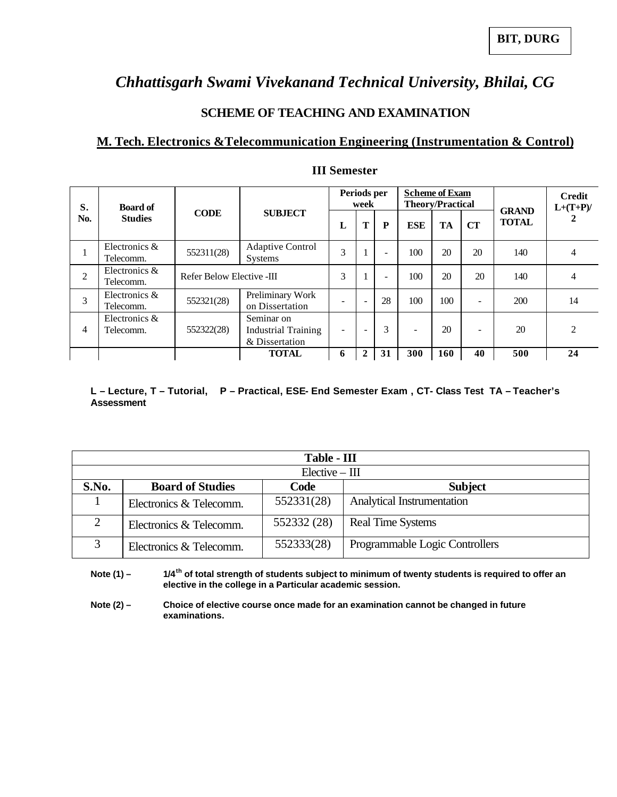### *Chhattisgarh Swami Vivekanand Technical University, Bhilai, CG*

### **SCHEME OF TEACHING AND EXAMINATION**

### **M. Tech. Electronics &Telecommunication Engineering (Instrumentation & Control)**

| S.<br>No.      | <b>Board of</b>              |                           |                                                            |   | Periods per<br>week      |            | <b>Scheme of Exam</b><br><b>Theory/Practical</b> |     |              | <b>GRAND</b> | <b>Credit</b><br>$L+(T+P)$ / |
|----------------|------------------------------|---------------------------|------------------------------------------------------------|---|--------------------------|------------|--------------------------------------------------|-----|--------------|--------------|------------------------------|
|                | <b>Studies</b>               | <b>CODE</b>               | <b>SUBJECT</b>                                             | L | Т<br>P                   | <b>ESE</b> | TA                                               | CT  | <b>TOTAL</b> | 2            |                              |
|                | Electronics &<br>Telecomm.   | 552311(28)                | <b>Adaptive Control</b><br><b>Systems</b>                  | 3 |                          |            | 100                                              | 20  | 20           | 140          | 4                            |
| $\overline{2}$ | Electronics $&$<br>Telecomm. | Refer Below Elective -III |                                                            | 3 |                          |            | 100                                              | 20  | 20           | 140          | $\overline{4}$               |
| 3              | Electronics &<br>Telecomm.   | 552321(28)                | Preliminary Work<br>on Dissertation                        |   | $\overline{\phantom{m}}$ | 28         | 100                                              | 100 | ۰            | 200          | 14                           |
| 4              | Electronics &<br>Telecomm.   | 552322(28)                | Seminar on<br><b>Industrial Training</b><br>& Dissertation |   | $\overline{\phantom{0}}$ | 3          |                                                  | 20  | ۰            | 20           | $\mathfrak{D}$               |
|                |                              |                           | <b>TOTAL</b>                                               | 6 | $\overline{2}$           | 31         | 300                                              | 160 | 40           | 500          | 24                           |

#### **III Semester**

#### **L – Lecture, T – Tutorial, P – Practical, ESE- End Semester Exam , CT- Class Test TA – Teacher's Assessment**

|                  | Table - III                                       |             |                                |  |  |  |  |  |  |  |
|------------------|---------------------------------------------------|-------------|--------------------------------|--|--|--|--|--|--|--|
| $Elective - III$ |                                                   |             |                                |  |  |  |  |  |  |  |
| S.No.            | <b>Board of Studies</b><br>Code<br><b>Subject</b> |             |                                |  |  |  |  |  |  |  |
|                  | Electronics & Telecomm.                           | 552331(28)  | Analytical Instrumentation     |  |  |  |  |  |  |  |
| $\mathcal{D}$    | Electronics & Telecomm.                           | 552332 (28) | <b>Real Time Systems</b>       |  |  |  |  |  |  |  |
| 3                | Electronics & Telecomm.                           | 552333(28)  | Programmable Logic Controllers |  |  |  |  |  |  |  |

**Note (1) – 1/4th of total strength of students subject to minimum of twenty students is required to offer an elective in the college in a Particular academic session.**

**Note (2) – Choice of elective course once made for an examination cannot be changed in future examinations.**